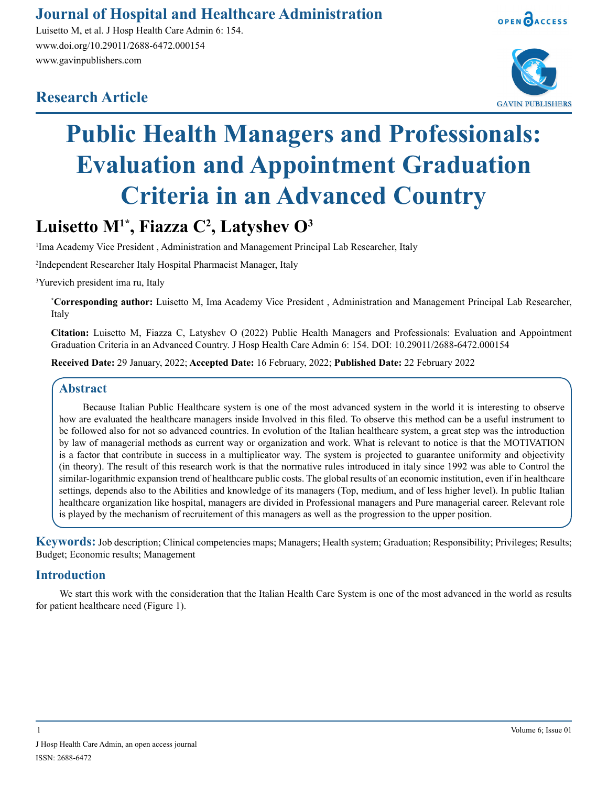### **Journal of Hospital and Healthcare Administration**

Luisetto M, et al. J Hosp Health Care Admin 6: 154. www.doi.org/10.29011/2688-6472.000154 www.gavinpublishers.com

## **Research Article**



OPEN OACCESS

# **Public Health Managers and Professionals: Evaluation and Appointment Graduation Criteria in an Advanced Country**

## **Luisetto M1\*, Fiazza C2 , Latyshev O3**

<sup>1</sup>Ima Academy Vice President, Administration and Management Principal Lab Researcher, Italy

2 Independent Researcher Italy Hospital Pharmacist Manager, Italy

3 Yurevich president ima ru, Italy

**\* Corresponding author:** Luisetto M, Ima Academy Vice President , Administration and Management Principal Lab Researcher, Italy

**Citation:** Luisetto M, Fiazza C, Latyshev O (2022) Public Health Managers and Professionals: Evaluation and Appointment Graduation Criteria in an Advanced Country. J Hosp Health Care Admin 6: 154. DOI: 10.29011/2688-6472.000154

**Received Date:** 29 January, 2022; **Accepted Date:** 16 February, 2022; **Published Date:** 22 February 2022

#### **Abstract**

Because Italian Public Healthcare system is one of the most advanced system in the world it is interesting to observe how are evaluated the healthcare managers inside Involved in this filed. To observe this method can be a useful instrument to be followed also for not so advanced countries. In evolution of the Italian healthcare system, a great step was the introduction by law of managerial methods as current way or organization and work. What is relevant to notice is that the MOTIVATION is a factor that contribute in success in a multiplicator way. The system is projected to guarantee uniformity and objectivity (in theory). The result of this research work is that the normative rules introduced in italy since 1992 was able to Control the similar-logarithmic expansion trend of healthcare public costs. The global results of an economic institution, even if in healthcare settings, depends also to the Abilities and knowledge of its managers (Top, medium, and of less higher level). In public Italian healthcare organization like hospital, managers are divided in Professional managers and Pure managerial career. Relevant role is played by the mechanism of recruitement of this managers as well as the progression to the upper position.

**Keywords:** Job description; Clinical competencies maps; Managers; Health system; Graduation; Responsibility; Privileges; Results; Budget; Economic results; Management

#### **Introduction**

We start this work with the consideration that the Italian Health Care System is one of the most advanced in the world as results for patient healthcare need (Figure 1).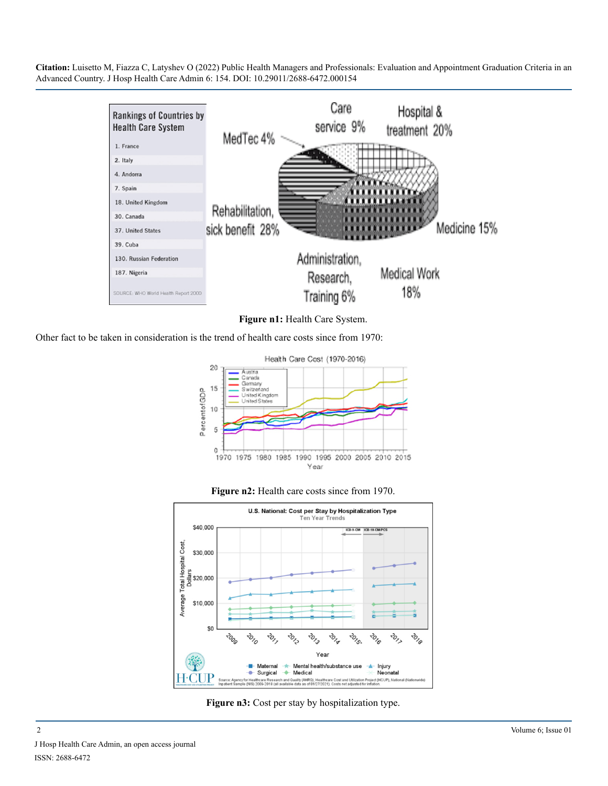

**Figure n1:** Health Care System.

Other fact to be taken in consideration is the trend of health care costs since from 1970:







**Figure n3:** Cost per stay by hospitalization type.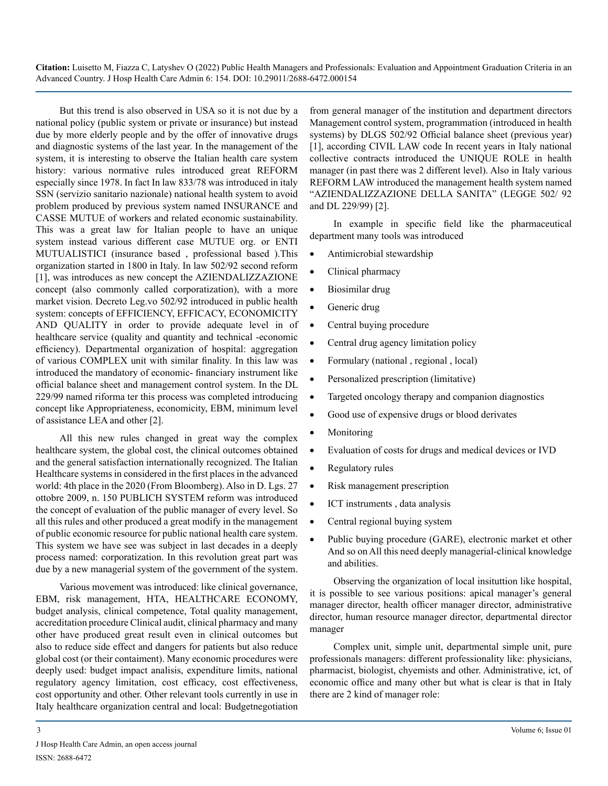But this trend is also observed in USA so it is not due by a national policy (public system or private or insurance) but instead due by more elderly people and by the offer of innovative drugs and diagnostic systems of the last year. In the management of the system, it is interesting to observe the Italian health care system history: various normative rules introduced great REFORM especially since 1978. In fact In law 833/78 was introduced in italy SSN (servizio sanitario nazionale) national health system to avoid problem produced by previous system named INSURANCE and CASSE MUTUE of workers and related economic sustainability. This was a great law for Italian people to have an unique system instead various different case MUTUE org. or ENTI MUTUALISTICI (insurance based , professional based ).This organization started in 1800 in Italy. In law 502/92 second reform [1], was introduces as new concept the AZIENDALIZZAZIONE concept (also commonly called corporatization), with a more market vision. Decreto Leg.vo 502/92 introduced in public health system: concepts of EFFICIENCY, EFFICACY, ECONOMICITY AND QUALITY in order to provide adequate level in of healthcare service (quality and quantity and technical -economic efficiency). Departmental organization of hospital: aggregation of various COMPLEX unit with similar finality. In this law was introduced the mandatory of economic- financiary instrument like official balance sheet and management control system. In the DL 229/99 named riforma ter this process was completed introducing concept like Appropriateness, economicity, EBM, minimum level of assistance LEA and other [2].

All this new rules changed in great way the complex healthcare system, the global cost, the clinical outcomes obtained and the general satisfaction internationally recognized. The Italian Healthcare systems in considered in the first places in the advanced world: 4th place in the 2020 (From Bloomberg). Also in D. Lgs. 27 ottobre 2009, n. 150 PUBLICH SYSTEM reform was introduced the concept of evaluation of the public manager of every level. So all this rules and other produced a great modify in the management of public economic resource for public national health care system. This system we have see was subject in last decades in a deeply process named: corporatization. In this revolution great part was due by a new managerial system of the government of the system.

Various movement was introduced: like clinical governance, EBM, risk management, HTA, HEALTHCARE ECONOMY, budget analysis, clinical competence, Total quality management, accreditation procedure Clinical audit, clinical pharmacy and many other have produced great result even in clinical outcomes but also to reduce side effect and dangers for patients but also reduce global cost (or their contaiment). Many economic procedures were deeply used: budget impact analisis, expenditure limits, national regulatory agency limitation, cost efficacy, cost effectiveness, cost opportunity and other. Other relevant tools currently in use in Italy healthcare organization central and local: Budgetnegotiation

from general manager of the institution and department directors Management control system, programmation (introduced in health systems) by DLGS 502/92 Official balance sheet (previous year) [1], according CIVIL LAW code In recent years in Italy national collective contracts introduced the UNIQUE ROLE in health manager (in past there was 2 different level). Also in Italy various REFORM LAW introduced the management health system named "AZIENDALIZZAZIONE DELLA SANITA" (LEGGE 502/ 92 and DL 229/99) [2].

In example in specific field like the pharmaceutical department many tools was introduced

- Antimicrobial stewardship
- Clinical pharmacy
- Biosimilar drug
- Generic drug
- Central buying procedure
- Central drug agency limitation policy
- Formulary (national, regional, local)
- Personalized prescription (limitative)
- Targeted oncology therapy and companion diagnostics
- Good use of expensive drugs or blood derivates
- **Monitoring**
- Evaluation of costs for drugs and medical devices or IVD
- Regulatory rules
- Risk management prescription
- ICT instruments, data analysis
- Central regional buying system
- Public buying procedure (GARE), electronic market et other And so on All this need deeply managerial-clinical knowledge and abilities.

Observing the organization of local insituttion like hospital, it is possible to see various positions: apical manager's general manager director, health officer manager director, administrative director, human resource manager director, departmental director manager

Complex unit, simple unit, departmental simple unit, pure professionals managers: different professionality like: physicians, pharmacist, biologist, chyemists and other. Administrative, ict, of economic office and many other but what is clear is that in Italy there are 2 kind of manager role: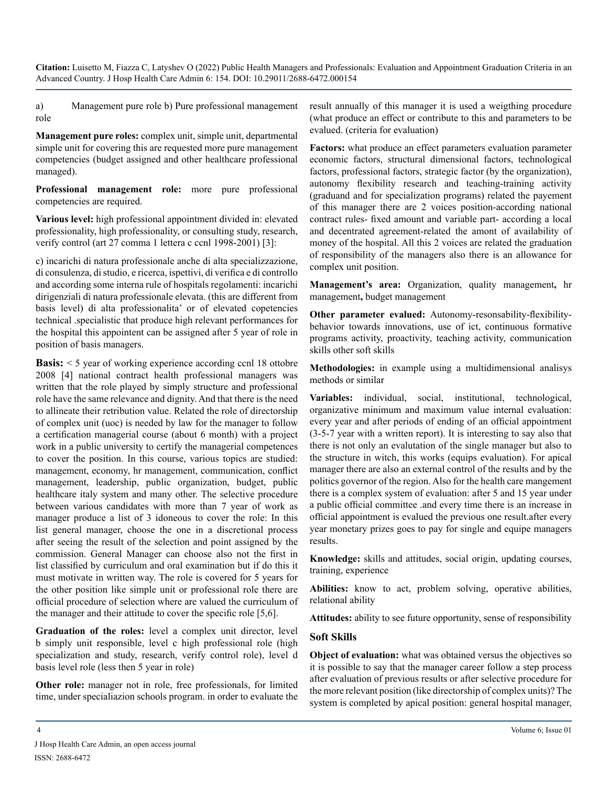a) Management pure role b) Pure professional management role

**Management pure roles:** complex unit, simple unit, departmental simple unit for covering this are requested more pure management competencies (budget assigned and other healthcare professional managed).

**Professional management role:** more pure professional competencies are required.

**Various level:** high professional appointment divided in: elevated professionality, high professionality, or consulting study, research, verify control (art 27 comma 1 lettera c ccnl 1998-2001) [3]:

c) incarichi di natura professionale anche di alta specializzazione, di consulenza, di studio, e ricerca, ispettivi, di verifica e di controllo and according some interna rule of hospitals regolamenti: incarichi dirigenziali di natura professionale elevata. (this are different from basis level) di alta professionalita' or of elevated copetencies technical .specialistic that produce high relevant performances for the hospital this appointent can be assigned after 5 year of role in position of basis managers.

**Basis:**  $\leq$  5 year of working experience according ccnl 18 ottobre 2008 [4] national contract health professional managers was written that the role played by simply structure and professional role have the same relevance and dignity. And that there is the need to allineate their retribution value. Related the role of directorship of complex unit (uoc) is needed by law for the manager to follow a certification managerial course (about 6 month) with a project work in a public university to certify the managerial competences to cover the position. In this course, various topics are studied: management, economy, hr management, communication, conflict management, leadership, public organization, budget, public healthcare italy system and many other. The selective procedure between various candidates with more than 7 year of work as manager produce a list of 3 idoneous to cover the role: In this list general manager, choose the one in a discretional process after seeing the result of the selection and point assigned by the commission. General Manager can choose also not the first in list classified by curriculum and oral examination but if do this it must motivate in written way. The role is covered for 5 years for the other position like simple unit or professional role there are official procedure of selection where are valued the curriculum of the manager and their attitude to cover the specific role [5,6].

**Graduation of the roles:** level a complex unit director, level b simply unit responsible, level c high professional role (high specialization and study, research, verify control role), level d basis level role (less then 5 year in role)

**Other role:** manager not in role, free professionals, for limited time, under specialiazion schools program. in order to evaluate the result annually of this manager it is used a weigthing procedure (what produce an effect or contribute to this and parameters to be evalued. (criteria for evaluation)

**Factors:** what produce an effect parameters evaluation parameter economic factors, structural dimensional factors, technological factors, professional factors, strategic factor (by the organization), autonomy flexibility research and teaching-training activity (graduand and for specialization programs) related the payement of this manager there are 2 voices position-according national contract rules- fixed amount and variable part- according a local and decentrated agreement-related the amont of availability of money of the hospital. All this 2 voices are related the graduation of responsibility of the managers also there is an allowance for complex unit position.

**Management's area:** Organization, quality management**,** hr management**,** budget management

**Other parameter evalued:** Autonomy-resonsability-flexibilitybehavior towards innovations, use of ict, continuous formative programs activity, proactivity, teaching activity, communication skills other soft skills

**Methodologies:** in example using a multidimensional analisys methods or similar

**Variables:** individual, social, institutional, technological, organizative minimum and maximum value internal evaluation: every year and after periods of ending of an official appointment (3-5-7 year with a written report). It is interesting to say also that there is not only an evalutation of the single manager but also to the structure in witch, this works (equips evaluation). For apical manager there are also an external control of the results and by the politics governor of the region. Also for the health care mangement there is a complex system of evaluation: after 5 and 15 year under a public official committee .and every time there is an increase in official appointment is evalued the previous one result.after every year monetary prizes goes to pay for single and equipe managers results.

**Knowledge:** skills and attitudes, social origin, updating courses, training, experience

**Abilities:** know to act, problem solving, operative abilities, relational ability

**Attitudes:** ability to see future opportunity, sense of responsibility

#### **Soft Skills**

**Object of evaluation:** what was obtained versus the objectives so it is possible to say that the manager career follow a step process after evaluation of previous results or after selective procedure for the more relevant position (like directorship of complex units)? The system is completed by apical position: general hospital manager,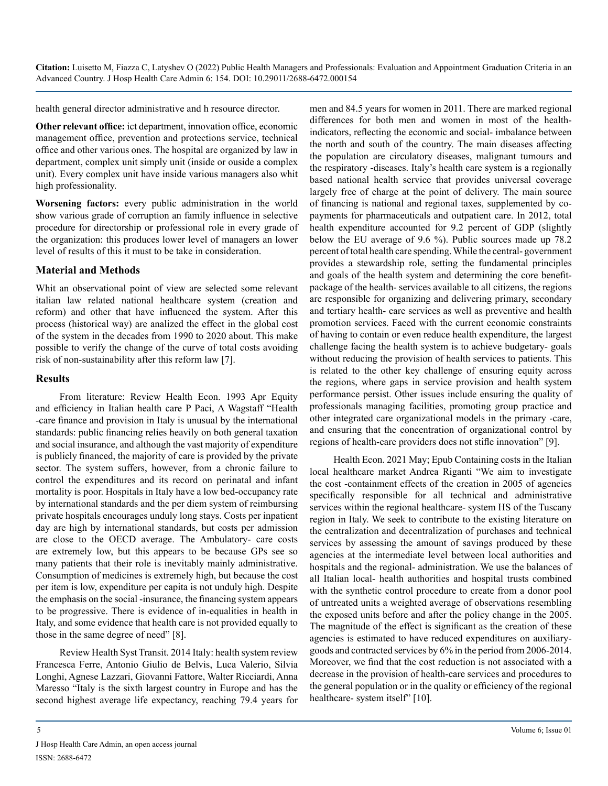health general director administrative and h resource director.

**Other relevant office:** ict department, innovation office, economic management office, prevention and protections service, technical office and other various ones. The hospital are organized by law in department, complex unit simply unit (inside or ouside a complex unit). Every complex unit have inside various managers also whit high professionality.

**Worsening factors:** every public administration in the world show various grade of corruption an family influence in selective procedure for directorship or professional role in every grade of the organization: this produces lower level of managers an lower level of results of this it must to be take in consideration.

#### **Material and Methods**

Whit an observational point of view are selected some relevant italian law related national healthcare system (creation and reform) and other that have influenced the system. After this process (historical way) are analized the effect in the global cost of the system in the decades from 1990 to 2020 about. This make possible to verify the change of the curve of total costs avoiding risk of non-sustainability after this reform law [7].

#### **Results**

From literature: Review Health Econ. 1993 Apr Equity and efficiency in Italian health care P Paci, A Wagstaff "Health -care finance and provision in Italy is unusual by the international standards: public financing relies heavily on both general taxation and social insurance, and although the vast majority of expenditure is publicly financed, the majority of care is provided by the private sector. The system suffers, however, from a chronic failure to control the expenditures and its record on perinatal and infant mortality is poor. Hospitals in Italy have a low bed-occupancy rate by international standards and the per diem system of reimbursing private hospitals encourages unduly long stays. Costs per inpatient day are high by international standards, but costs per admission are close to the OECD average. The Ambulatory- care costs are extremely low, but this appears to be because GPs see so many patients that their role is inevitably mainly administrative. Consumption of medicines is extremely high, but because the cost per item is low, expenditure per capita is not unduly high. Despite the emphasis on the social -insurance, the financing system appears to be progressive. There is evidence of in-equalities in health in Italy, and some evidence that health care is not provided equally to those in the same degree of need" [8].

Review Health Syst Transit. 2014 Italy: health system review Francesca Ferre, Antonio Giulio de Belvis, Luca Valerio, Silvia Longhi, Agnese Lazzari, Giovanni Fattore, Walter Ricciardi, Anna Maresso "Italy is the sixth largest country in Europe and has the second highest average life expectancy, reaching 79.4 years for men and 84.5 years for women in 2011. There are marked regional differences for both men and women in most of the healthindicators, reflecting the economic and social- imbalance between the north and south of the country. The main diseases affecting the population are circulatory diseases, malignant tumours and the respiratory -diseases. Italy's health care system is a regionally based national health service that provides universal coverage largely free of charge at the point of delivery. The main source of financing is national and regional taxes, supplemented by copayments for pharmaceuticals and outpatient care. In 2012, total health expenditure accounted for 9.2 percent of GDP (slightly below the EU average of 9.6 %). Public sources made up 78.2 percent of total health care spending. While the central- government provides a stewardship role, setting the fundamental principles and goals of the health system and determining the core benefitpackage of the health- services available to all citizens, the regions are responsible for organizing and delivering primary, secondary and tertiary health- care services as well as preventive and health promotion services. Faced with the current economic constraints of having to contain or even reduce health expenditure, the largest challenge facing the health system is to achieve budgetary- goals without reducing the provision of health services to patients. This is related to the other key challenge of ensuring equity across the regions, where gaps in service provision and health system performance persist. Other issues include ensuring the quality of professionals managing facilities, promoting group practice and other integrated care organizational models in the primary -care, and ensuring that the concentration of organizational control by regions of health-care providers does not stifle innovation" [9].

Health Econ. 2021 May; Epub Containing costs in the Italian local healthcare market Andrea Riganti "We aim to investigate the cost -containment effects of the creation in 2005 of agencies specifically responsible for all technical and administrative services within the regional healthcare- system HS of the Tuscany region in Italy. We seek to contribute to the existing literature on the centralization and decentralization of purchases and technical services by assessing the amount of savings produced by these agencies at the intermediate level between local authorities and hospitals and the regional- administration. We use the balances of all Italian local- health authorities and hospital trusts combined with the synthetic control procedure to create from a donor pool of untreated units a weighted average of observations resembling the exposed units before and after the policy change in the 2005. The magnitude of the effect is significant as the creation of these agencies is estimated to have reduced expenditures on auxiliarygoods and contracted services by 6% in the period from 2006-2014. Moreover, we find that the cost reduction is not associated with a decrease in the provision of health-care services and procedures to the general population or in the quality or efficiency of the regional healthcare- system itself" [10].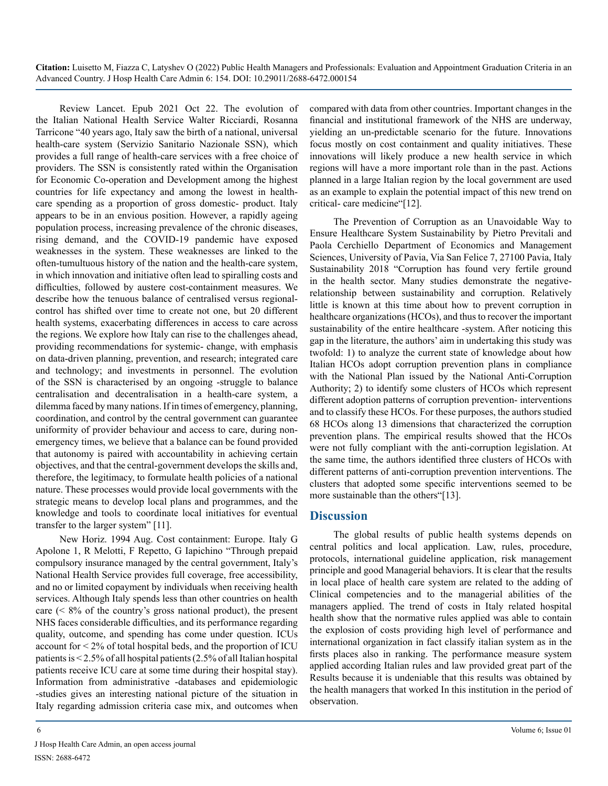Review Lancet. Epub 2021 Oct 22. The evolution of the Italian National Health Service Walter Ricciardi, Rosanna Tarricone "40 years ago, Italy saw the birth of a national, universal health-care system (Servizio Sanitario Nazionale SSN), which provides a full range of health-care services with a free choice of providers. The SSN is consistently rated within the Organisation for Economic Co-operation and Development among the highest countries for life expectancy and among the lowest in healthcare spending as a proportion of gross domestic- product. Italy appears to be in an envious position. However, a rapidly ageing population process, increasing prevalence of the chronic diseases, rising demand, and the COVID-19 pandemic have exposed weaknesses in the system. These weaknesses are linked to the often-tumultuous history of the nation and the health-care system, in which innovation and initiative often lead to spiralling costs and difficulties, followed by austere cost-containment measures. We describe how the tenuous balance of centralised versus regionalcontrol has shifted over time to create not one, but 20 different health systems, exacerbating differences in access to care across the regions. We explore how Italy can rise to the challenges ahead, providing recommendations for systemic- change, with emphasis on data-driven planning, prevention, and research; integrated care and technology; and investments in personnel. The evolution of the SSN is characterised by an ongoing -struggle to balance centralisation and decentralisation in a health-care system, a dilemma faced by many nations. If in times of emergency, planning, coordination, and control by the central government can guarantee uniformity of provider behaviour and access to care, during nonemergency times, we believe that a balance can be found provided that autonomy is paired with accountability in achieving certain objectives, and that the central-government develops the skills and, therefore, the legitimacy, to formulate health policies of a national nature. These processes would provide local governments with the strategic means to develop local plans and programmes, and the knowledge and tools to coordinate local initiatives for eventual transfer to the larger system" [11].

New Horiz. 1994 Aug. Cost containment: Europe. Italy G Apolone 1, R Melotti, F Repetto, G Iapichino "Through prepaid compulsory insurance managed by the central government, Italy's National Health Service provides full coverage, free accessibility, and no or limited copayment by individuals when receiving health services. Although Italy spends less than other countries on health care  $($  < 8% of the country's gross national product), the present NHS faces considerable difficulties, and its performance regarding quality, outcome, and spending has come under question. ICUs account for  $\leq 2\%$  of total hospital beds, and the proportion of ICU patients is < 2.5% of all hospital patients (2.5% of all Italian hospital patients receive ICU care at some time during their hospital stay). Information from administrative -databases and epidemiologic -studies gives an interesting national picture of the situation in Italy regarding admission criteria case mix, and outcomes when compared with data from other countries. Important changes in the financial and institutional framework of the NHS are underway, yielding an un-predictable scenario for the future. Innovations focus mostly on cost containment and quality initiatives. These innovations will likely produce a new health service in which regions will have a more important role than in the past. Actions planned in a large Italian region by the local government are used as an example to explain the potential impact of this new trend on critical- care medicine"[12].

The Prevention of Corruption as an Unavoidable Way to Ensure Healthcare System Sustainability by Pietro Previtali and Paola Cerchiello Department of Economics and Management Sciences, University of Pavia, Via San Felice 7, 27100 Pavia, Italy Sustainability 2018 "Corruption has found very fertile ground in the health sector. Many studies demonstrate the negativerelationship between sustainability and corruption. Relatively little is known at this time about how to prevent corruption in healthcare organizations (HCOs), and thus to recover the important sustainability of the entire healthcare -system. After noticing this gap in the literature, the authors' aim in undertaking this study was twofold: 1) to analyze the current state of knowledge about how Italian HCOs adopt corruption prevention plans in compliance with the National Plan issued by the National Anti-Corruption Authority; 2) to identify some clusters of HCOs which represent different adoption patterns of corruption prevention- interventions and to classify these HCOs. For these purposes, the authors studied 68 HCOs along 13 dimensions that characterized the corruption prevention plans. The empirical results showed that the HCOs were not fully compliant with the anti-corruption legislation. At the same time, the authors identified three clusters of HCOs with different patterns of anti-corruption prevention interventions. The clusters that adopted some specific interventions seemed to be more sustainable than the others"[13].

#### **Discussion**

The global results of public health systems depends on central politics and local application. Law, rules, procedure, protocols, international guideline application, risk management principle and good Managerial behaviors. It is clear that the results in local place of health care system are related to the adding of Clinical competencies and to the managerial abilities of the managers applied. The trend of costs in Italy related hospital health show that the normative rules applied was able to contain the explosion of costs providing high level of performance and international organization in fact classify italian system as in the firsts places also in ranking. The performance measure system applied according Italian rules and law provided great part of the Results because it is undeniable that this results was obtained by the health managers that worked In this institution in the period of observation.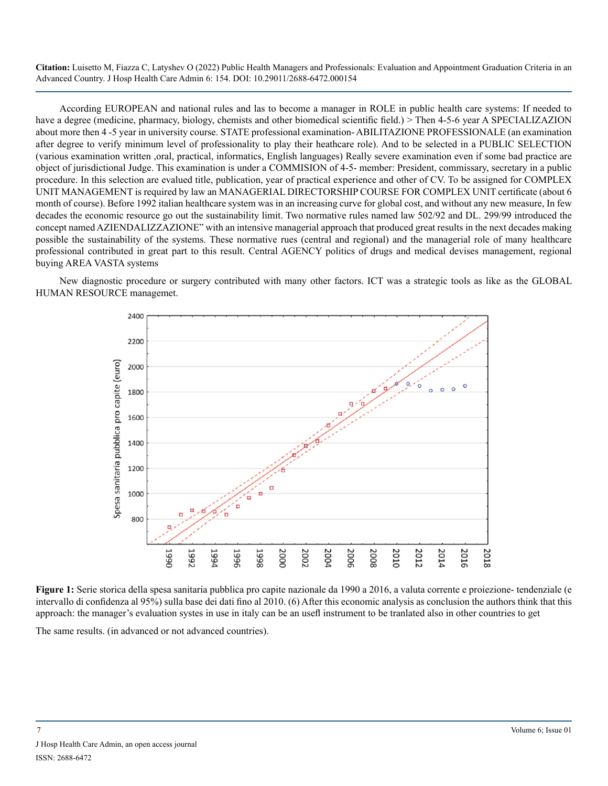According EUROPEAN and national rules and las to become a manager in ROLE in public health care systems: If needed to have a degree (medicine, pharmacy, biology, chemists and other biomedical scientific field.) > Then 4-5-6 year A SPECIALIZAZION about more then 4 -5 year in university course. STATE professional examination- ABILITAZIONE PROFESSIONALE (an examination after degree to verify minimum level of professionality to play their heathcare role). And to be selected in a PUBLIC SELECTION (various examination written ,oral, practical, informatics, English languages) Really severe examination even if some bad practice are object of jurisdictional Judge. This examination is under a COMMISION of 4-5- member: President, commissary, secretary in a public procedure. In this selection are evalued title, publication, year of practical experience and other of CV. To be assigned for COMPLEX UNIT MANAGEMENT is required by law an MANAGERIAL DIRECTORSHIP COURSE FOR COMPLEX UNIT certificate (about 6 month of course). Before 1992 italian healthcare system was in an increasing curve for global cost, and without any new measure, In few decades the economic resource go out the sustainability limit. Two normative rules named law 502/92 and DL. 299/99 introduced the concept named AZIENDALIZZAZIONE" with an intensive managerial approach that produced great results in the next decades making possible the sustainability of the systems. These normative rues (central and regional) and the managerial role of many healthcare professional contributed in great part to this result. Central AGENCY politics of drugs and medical devises management, regional buying AREA VASTA systems

New diagnostic procedure or surgery contributed with many other factors. ICT was a strategic tools as like as the GLOBAL HUMAN RESOURCE managemet.



**Figure 1:** Serie storica della spesa sanitaria pubblica pro capite nazionale da 1990 a 2016, a valuta corrente e proiezione- tendenziale (e intervallo di confidenza al 95%) sulla base dei dati fino al 2010. (6) After this economic analysis as conclusion the authors think that this approach: the manager's evaluation systes in use in italy can be an usefl instrument to be tranlated also in other countries to get

The same results. (in advanced or not advanced countries).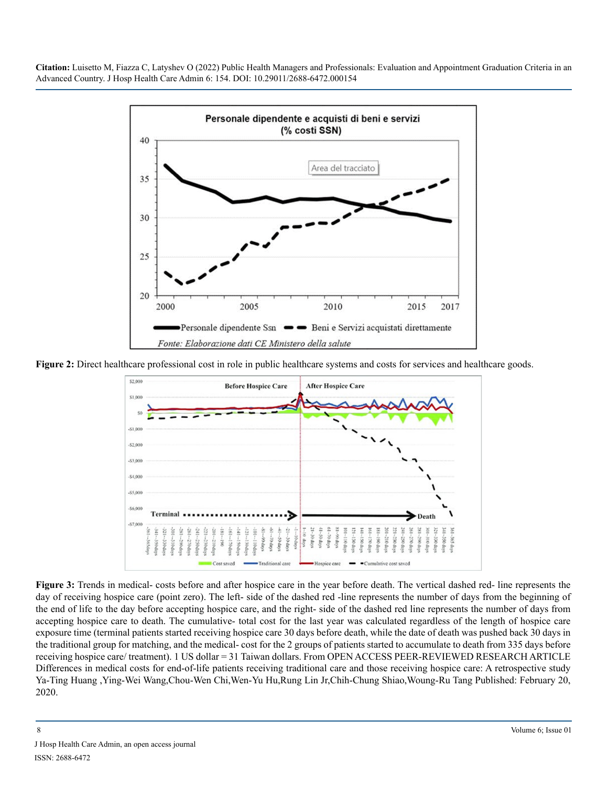

**Figure 2:** Direct healthcare professional cost in role in public healthcare systems and costs for services and healthcare goods.



**Figure 3:** Trends in medical- costs before and after hospice care in the year before death. The vertical dashed red- line represents the day of receiving hospice care (point zero). The left- side of the dashed red -line represents the number of days from the beginning of the end of life to the day before accepting hospice care, and the right- side of the dashed red line represents the number of days from accepting hospice care to death. The cumulative- total cost for the last year was calculated regardless of the length of hospice care exposure time (terminal patients started receiving hospice care 30 days before death, while the date of death was pushed back 30 days in the traditional group for matching, and the medical- cost for the 2 groups of patients started to accumulate to death from 335 days before receiving hospice care/ treatment). 1 US dollar = 31 Taiwan dollars. From OPEN ACCESS PEER-REVIEWED RESEARCH ARTICLE Differences in medical costs for end-of-life patients receiving traditional care and those receiving hospice care: A retrospective study Ya-Ting Huang ,Ying-Wei Wang,Chou-Wen Chi,Wen-Yu Hu,Rung Lin Jr,Chih-Chung Shiao,Woung-Ru Tang Published: February 20, 2020.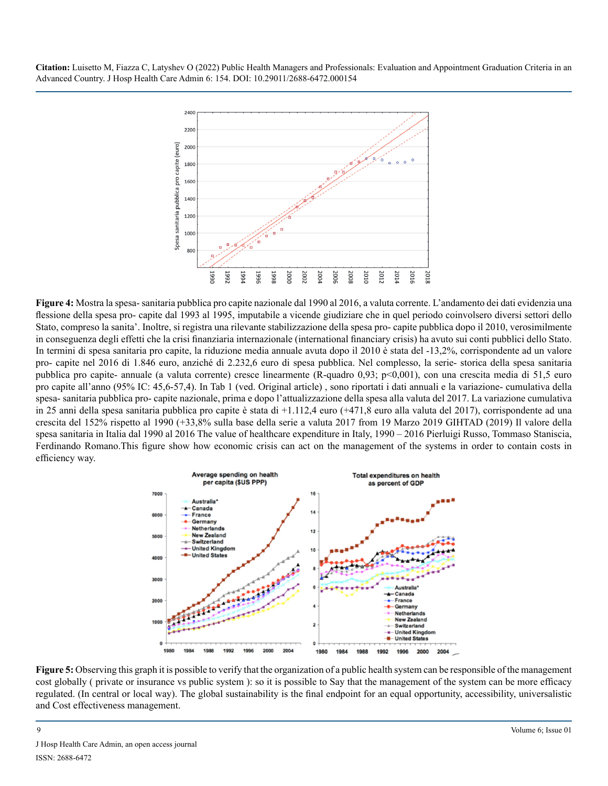

**Figure 4:** Mostra la spesa- sanitaria pubblica pro capite nazionale dal 1990 al 2016, a valuta corrente. L'andamento dei dati evidenzia una flessione della spesa pro- capite dal 1993 al 1995, imputabile a vicende giudiziare che in quel periodo coinvolsero diversi settori dello Stato, compreso la sanita'. Inoltre, si registra una rilevante stabilizzazione della spesa pro- capite pubblica dopo il 2010, verosimilmente in conseguenza degli effetti che la crisi finanziaria internazionale (international financiary crisis) ha avuto sui conti pubblici dello Stato. In termini di spesa sanitaria pro capite, la riduzione media annuale avuta dopo il 2010 è stata del -13,2%, corrispondente ad un valore pro- capite nel 2016 di 1.846 euro, anziché di 2.232,6 euro di spesa pubblica. Nel complesso, la serie- storica della spesa sanitaria pubblica pro capite- annuale (a valuta corrente) cresce linearmente (R-quadro 0,93; p<0,001), con una crescita media di 51,5 euro pro capite all'anno (95% IC: 45,6-57,4). In Tab 1 (ved. Original article) , sono riportati i dati annuali e la variazione- cumulativa della spesa- sanitaria pubblica pro- capite nazionale, prima e dopo l'attualizzazione della spesa alla valuta del 2017. La variazione cumulativa in 25 anni della spesa sanitaria pubblica pro capite è stata di +1.112,4 euro (+471,8 euro alla valuta del 2017), corrispondente ad una crescita del 152% rispetto al 1990 (+33,8% sulla base della serie a valuta 2017 from 19 Marzo 2019 GIHTAD (2019) Il valore della spesa sanitaria in Italia dal 1990 al 2016 The value of healthcare expenditure in Italy, 1990 – 2016 Pierluigi Russo, Tommaso Staniscia, Ferdinando Romano.This figure show how economic crisis can act on the management of the systems in order to contain costs in efficiency way.



**Figure 5:** Observing this graph it is possible to verify that the organization of a public health system can be responsible of the management cost globally ( private or insurance vs public system ): so it is possible to Say that the management of the system can be more efficacy regulated. (In central or local way). The global sustainability is the final endpoint for an equal opportunity, accessibility, universalistic and Cost effectiveness management.